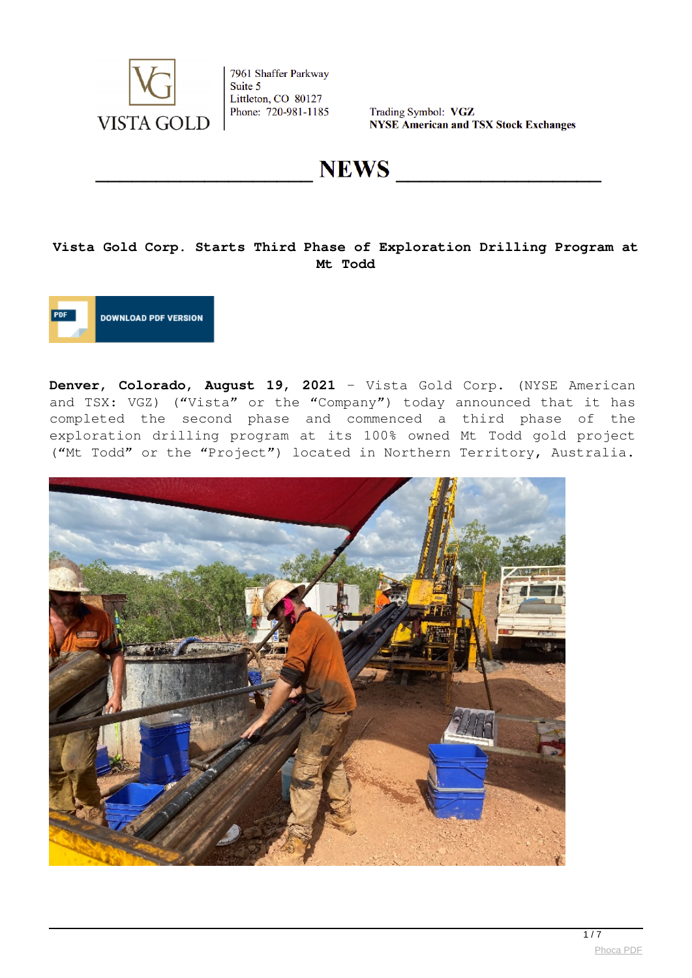

Trading Symbol: VGZ **NYSE American and TSX Stock Exchanges** 

**NEWS** 

# **Vista Gold Corp. Starts Third Phase of Exploration Drilling Program at Mt Todd**

**DOWNLOAD PDF VERSION** 

**Denver, Colorado, August 19, 2021** – Vista Gold Corp. (NYSE American and TSX: VGZ) ("Vista" or the "Company") today announced that it has completed the second phase and commenced a third phase of the exploration drilling program at its 100% owned Mt Todd gold project ("Mt Todd" or the "Project") located in Northern Territory, Australia.

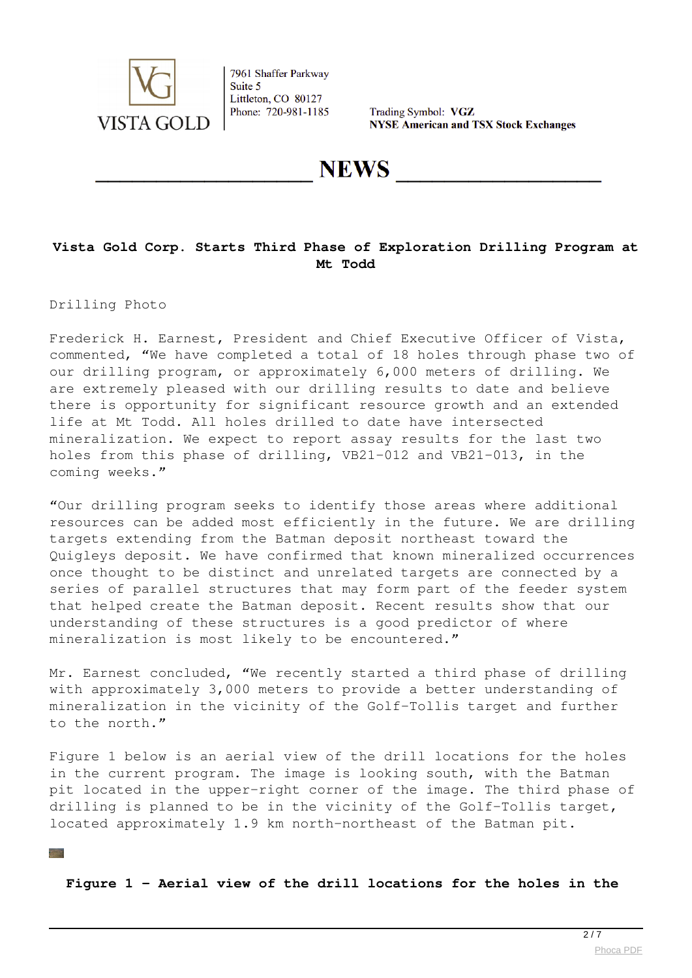

Trading Symbol: VGZ **NYSE American and TSX Stock Exchanges** 

**NEWS** 

## **Vista Gold Corp. Starts Third Phase of Exploration Drilling Program at Mt Todd**

Drilling Photo

Frederick H. Earnest, President and Chief Executive Officer of Vista, commented, "We have completed a total of 18 holes through phase two of our drilling program, or approximately 6,000 meters of drilling. We are extremely pleased with our drilling results to date and believe there is opportunity for significant resource growth and an extended life at Mt Todd. All holes drilled to date have intersected mineralization. We expect to report assay results for the last two holes from this phase of drilling, VB21-012 and VB21-013, in the coming weeks."

"Our drilling program seeks to identify those areas where additional resources can be added most efficiently in the future. We are drilling targets extending from the Batman deposit northeast toward the Quigleys deposit. We have confirmed that known mineralized occurrences once thought to be distinct and unrelated targets are connected by a series of parallel structures that may form part of the feeder system that helped create the Batman deposit. Recent results show that our understanding of these structures is a good predictor of where mineralization is most likely to be encountered."

Mr. Earnest concluded, "We recently started a third phase of drilling with approximately 3,000 meters to provide a better understanding of mineralization in the vicinity of the Golf-Tollis target and further to the north."

Figure 1 below is an aerial view of the drill locations for the holes in the current program. The image is looking south, with the Batman pit located in the upper-right corner of the image. The third phase of drilling is planned to be in the vicinity of the Golf-Tollis target, located approximately 1.9 km north-northeast of the Batman pit.

**Figure 1 - Aerial view of the drill locations for the holes in the**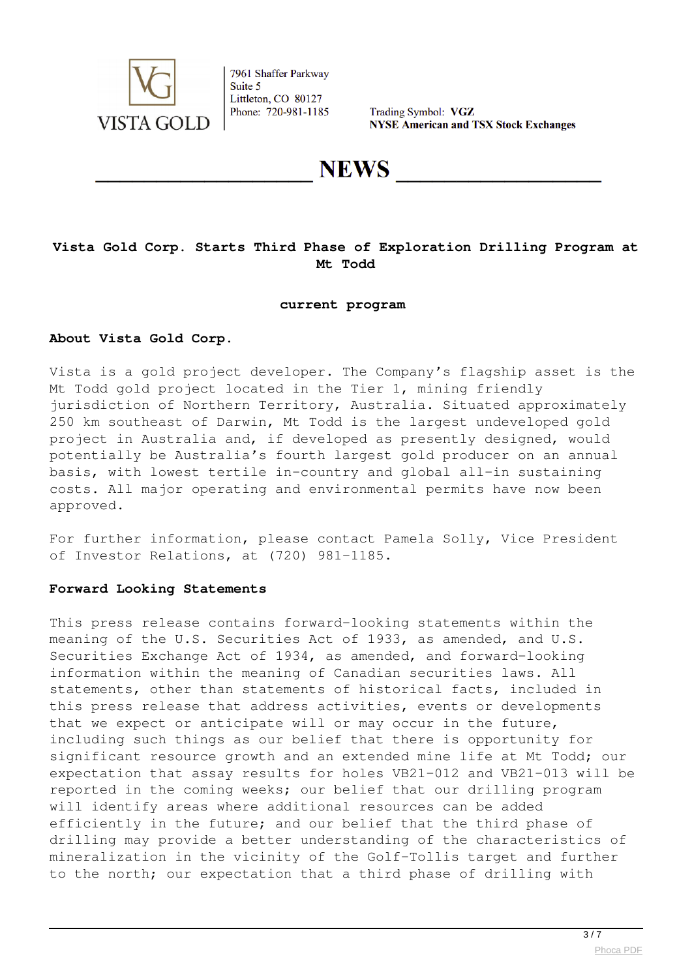

Trading Symbol: VGZ **NYSE American and TSX Stock Exchanges** 

**NEWS** 

#### **Vista Gold Corp. Starts Third Phase of Exploration Drilling Program at Mt Todd**

#### **current program**

#### **About Vista Gold Corp.**

Vista is a gold project developer. The Company's flagship asset is the Mt Todd gold project located in the Tier 1, mining friendly jurisdiction of Northern Territory, Australia. Situated approximately 250 km southeast of Darwin, Mt Todd is the largest undeveloped gold project in Australia and, if developed as presently designed, would potentially be Australia's fourth largest gold producer on an annual basis, with lowest tertile in-country and global all-in sustaining costs. All major operating and environmental permits have now been approved.

For further information, please contact Pamela Solly, Vice President of Investor Relations, at (720) 981-1185.

#### **Forward Looking Statements**

This press release contains forward-looking statements within the meaning of the U.S. Securities Act of 1933, as amended, and U.S. Securities Exchange Act of 1934, as amended, and forward-looking information within the meaning of Canadian securities laws. All statements, other than statements of historical facts, included in this press release that address activities, events or developments that we expect or anticipate will or may occur in the future, including such things as our belief that there is opportunity for significant resource growth and an extended mine life at Mt Todd; our expectation that assay results for holes VB21-012 and VB21-013 will be reported in the coming weeks; our belief that our drilling program will identify areas where additional resources can be added efficiently in the future; and our belief that the third phase of drilling may provide a better understanding of the characteristics of mineralization in the vicinity of the Golf-Tollis target and further to the north; our expectation that a third phase of drilling with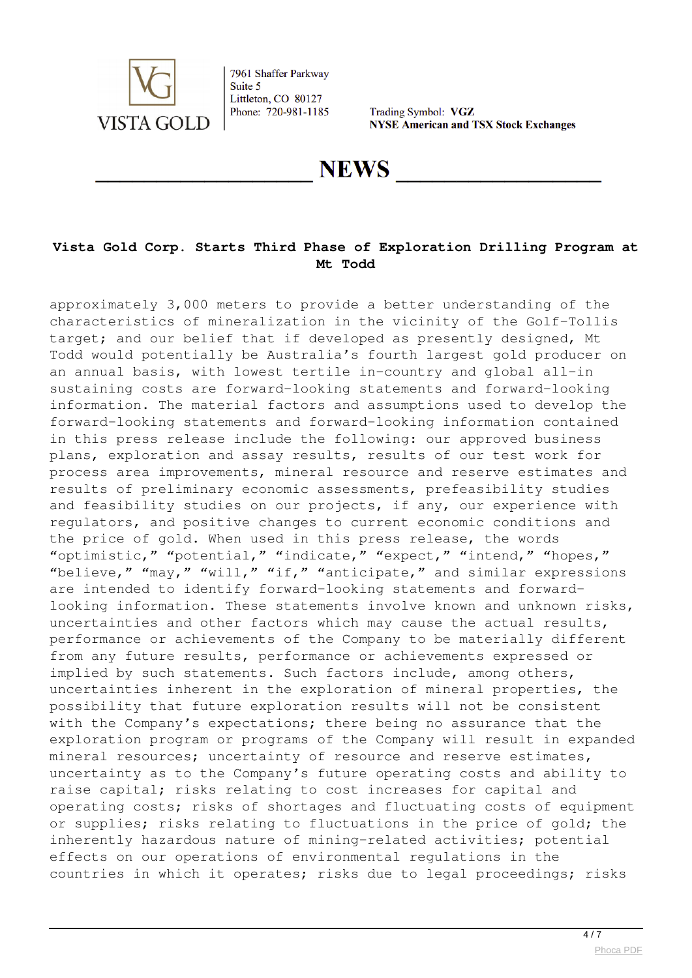

Trading Symbol: VGZ **NYSE American and TSX Stock Exchanges** 

**NEWS** 

## **Vista Gold Corp. Starts Third Phase of Exploration Drilling Program at Mt Todd**

approximately 3,000 meters to provide a better understanding of the characteristics of mineralization in the vicinity of the Golf-Tollis target; and our belief that if developed as presently designed, Mt Todd would potentially be Australia's fourth largest gold producer on an annual basis, with lowest tertile in-country and global all-in sustaining costs are forward-looking statements and forward-looking information. The material factors and assumptions used to develop the forward-looking statements and forward-looking information contained in this press release include the following: our approved business plans, exploration and assay results, results of our test work for process area improvements, mineral resource and reserve estimates and results of preliminary economic assessments, prefeasibility studies and feasibility studies on our projects, if any, our experience with regulators, and positive changes to current economic conditions and the price of gold. When used in this press release, the words "optimistic," "potential," "indicate," "expect," "intend," "hopes," "believe," "may," "will," "if," "anticipate," and similar expressions are intended to identify forward-looking statements and forwardlooking information. These statements involve known and unknown risks, uncertainties and other factors which may cause the actual results, performance or achievements of the Company to be materially different from any future results, performance or achievements expressed or implied by such statements. Such factors include, among others, uncertainties inherent in the exploration of mineral properties, the possibility that future exploration results will not be consistent with the Company's expectations; there being no assurance that the exploration program or programs of the Company will result in expanded mineral resources; uncertainty of resource and reserve estimates, uncertainty as to the Company's future operating costs and ability to raise capital; risks relating to cost increases for capital and operating costs; risks of shortages and fluctuating costs of equipment or supplies; risks relating to fluctuations in the price of gold; the inherently hazardous nature of mining-related activities; potential effects on our operations of environmental regulations in the countries in which it operates; risks due to legal proceedings; risks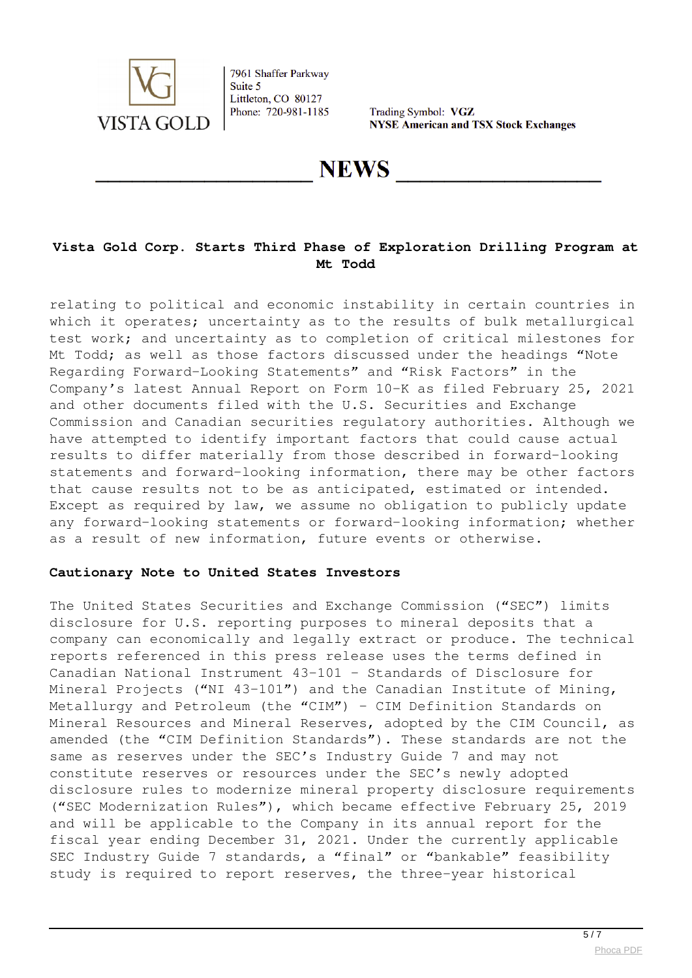

Trading Symbol: VGZ **NYSE American and TSX Stock Exchanges** 

**NEWS** 

## **Vista Gold Corp. Starts Third Phase of Exploration Drilling Program at Mt Todd**

relating to political and economic instability in certain countries in which it operates; uncertainty as to the results of bulk metallurgical test work; and uncertainty as to completion of critical milestones for Mt Todd; as well as those factors discussed under the headings "Note Regarding Forward-Looking Statements" and "Risk Factors" in the Company's latest Annual Report on Form 10-K as filed February 25, 2021 and other documents filed with the U.S. Securities and Exchange Commission and Canadian securities regulatory authorities. Although we have attempted to identify important factors that could cause actual results to differ materially from those described in forward-looking statements and forward-looking information, there may be other factors that cause results not to be as anticipated, estimated or intended. Except as required by law, we assume no obligation to publicly update any forward-looking statements or forward-looking information; whether as a result of new information, future events or otherwise.

#### **Cautionary Note to United States Investors**

The United States Securities and Exchange Commission ("SEC") limits disclosure for U.S. reporting purposes to mineral deposits that a company can economically and legally extract or produce. The technical reports referenced in this press release uses the terms defined in Canadian National Instrument 43-101 – Standards of Disclosure for Mineral Projects ("NI 43-101") and the Canadian Institute of Mining, Metallurgy and Petroleum (the "CIM") – CIM Definition Standards on Mineral Resources and Mineral Reserves, adopted by the CIM Council, as amended (the "CIM Definition Standards"). These standards are not the same as reserves under the SEC's Industry Guide 7 and may not constitute reserves or resources under the SEC's newly adopted disclosure rules to modernize mineral property disclosure requirements ("SEC Modernization Rules"), which became effective February 25, 2019 and will be applicable to the Company in its annual report for the fiscal year ending December 31, 2021. Under the currently applicable SEC Industry Guide 7 standards, a "final" or "bankable" feasibility study is required to report reserves, the three-year historical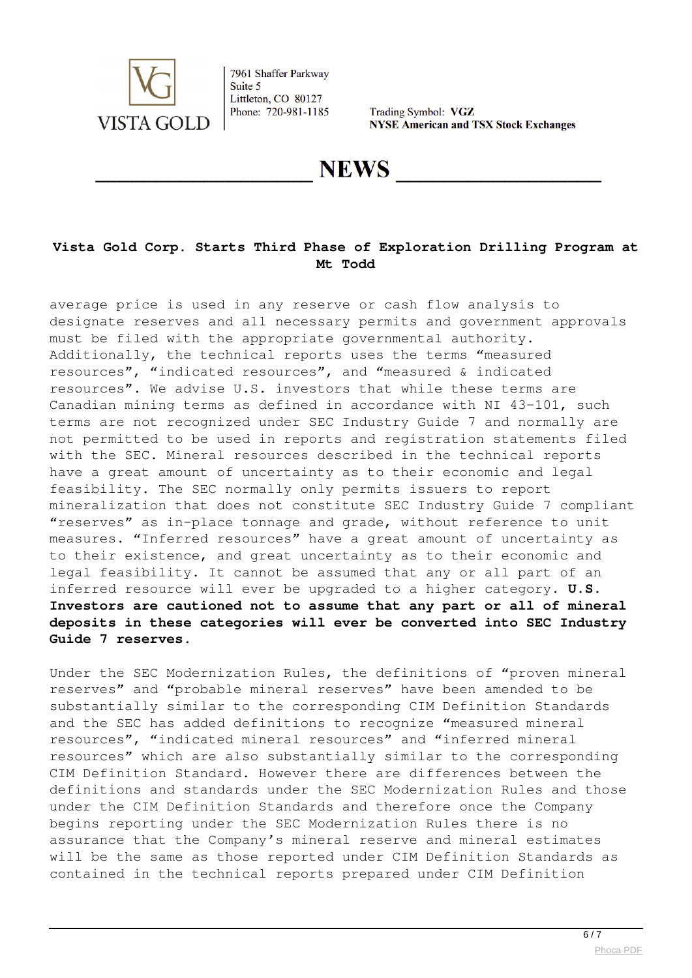

Trading Symbol: VGZ **NYSE American and TSX Stock Exchanges** 

**NEWS** 

## **Vista Gold Corp. Starts Third Phase of Exploration Drilling Program at Mt Todd**

average price is used in any reserve or cash flow analysis to designate reserves and all necessary permits and government approvals must be filed with the appropriate governmental authority. Additionally, the technical reports uses the terms "measured resources", "indicated resources", and "measured & indicated resources". We advise U.S. investors that while these terms are Canadian mining terms as defined in accordance with NI 43-101, such terms are not recognized under SEC Industry Guide 7 and normally are not permitted to be used in reports and registration statements filed with the SEC. Mineral resources described in the technical reports have a great amount of uncertainty as to their economic and legal feasibility. The SEC normally only permits issuers to report mineralization that does not constitute SEC Industry Guide 7 compliant "reserves" as in-place tonnage and grade, without reference to unit measures. "Inferred resources" have a great amount of uncertainty as to their existence, and great uncertainty as to their economic and legal feasibility. It cannot be assumed that any or all part of an inferred resource will ever be upgraded to a higher category. **U.S. Investors are cautioned not to assume that any part or all of mineral deposits in these categories will ever be converted into SEC Industry Guide 7 reserves.**

Under the SEC Modernization Rules, the definitions of "proven mineral reserves" and "probable mineral reserves" have been amended to be substantially similar to the corresponding CIM Definition Standards and the SEC has added definitions to recognize "measured mineral resources", "indicated mineral resources" and "inferred mineral resources" which are also substantially similar to the corresponding CIM Definition Standard. However there are differences between the definitions and standards under the SEC Modernization Rules and those under the CIM Definition Standards and therefore once the Company begins reporting under the SEC Modernization Rules there is no assurance that the Company's mineral reserve and mineral estimates will be the same as those reported under CIM Definition Standards as contained in the technical reports prepared under CIM Definition

 $6/7$